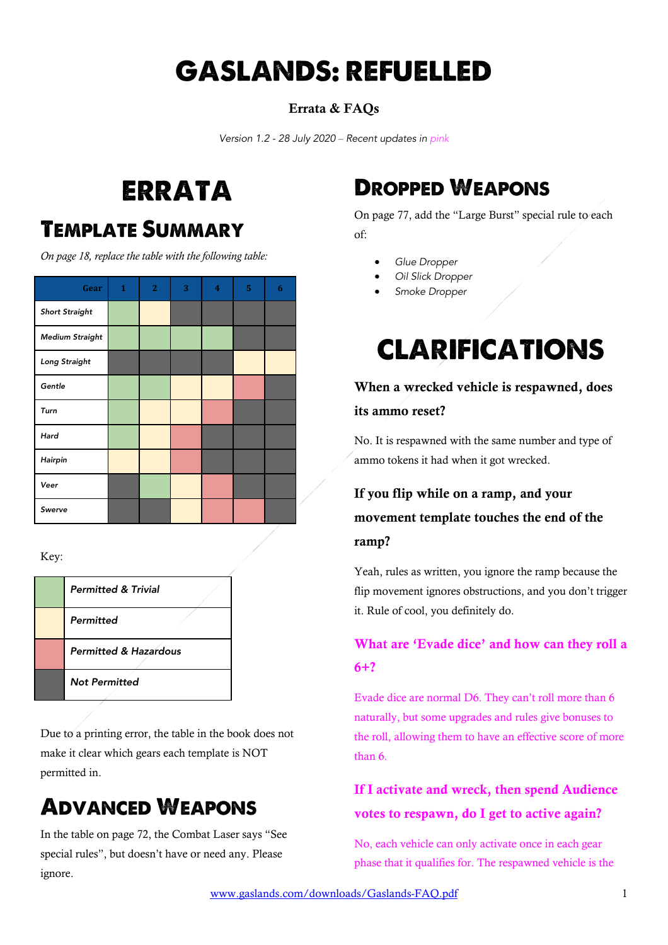# GASLANDS: REFUELLED

#### Errata & FAQs

*Version 1.2 - 28 July 2020 – Recent updates in pink*

# ERRATA

## TEMPLATE SUMMARY

*On page 18, replace the table with the following table:*

| Gear                   | $\mathbf{1}$ | $\mathbf{2}$ | 3 | $\overline{\mathbf{4}}$ | 5 | 6 |
|------------------------|--------------|--------------|---|-------------------------|---|---|
| <b>Short Straight</b>  |              |              |   |                         |   |   |
| <b>Medium Straight</b> |              |              |   |                         |   |   |
| Long Straight          |              |              |   |                         |   |   |
| Gentle                 |              |              |   |                         |   |   |
| Turn                   |              |              |   |                         |   |   |
| Hard                   |              |              |   |                         |   |   |
| Hairpin                |              |              |   |                         |   |   |
| Veer                   |              |              |   |                         |   |   |
| Swerve                 |              |              |   |                         |   |   |

Key:

| <b>Permitted &amp; Trivial</b>   |
|----------------------------------|
| Permitted                        |
| <b>Permitted &amp; Hazardous</b> |
| <b>Not Permitted</b>             |

Due to a printing error, the table in the book does not make it clear which gears each template is NOT permitted in.

# ADVANCED WEAPONS

In the table on page 72, the Combat Laser says "See special rules", but doesn't have or need any. Please ignore.

# DROPPED WEAPONS

On page 77, add the "Large Burst" special rule to each of:

- *Glue Dropper*
- *Oil Slick Dropper*
- *Smoke Dropper*

# CLARIFICATIONS

### When a wrecked vehicle is respawned, does its ammo reset?

No. It is respawned with the same number and type of ammo tokens it had when it got wrecked.

### If you flip while on a ramp, and your movement template touches the end of the ramp?

Yeah, rules as written, you ignore the ramp because the flip movement ignores obstructions, and you don't trigger it. Rule of cool, you definitely do.

### What are 'Evade dice' and how can they roll a 6+?

Evade dice are normal D6. They can't roll more than 6 naturally, but some upgrades and rules give bonuses to the roll, allowing them to have an effective score of more than 6.

### If I activate and wreck, then spend Audience votes to respawn, do I get to active again?

No, each vehicle can only activate once in each gear phase that it qualifies for. The respawned vehicle is the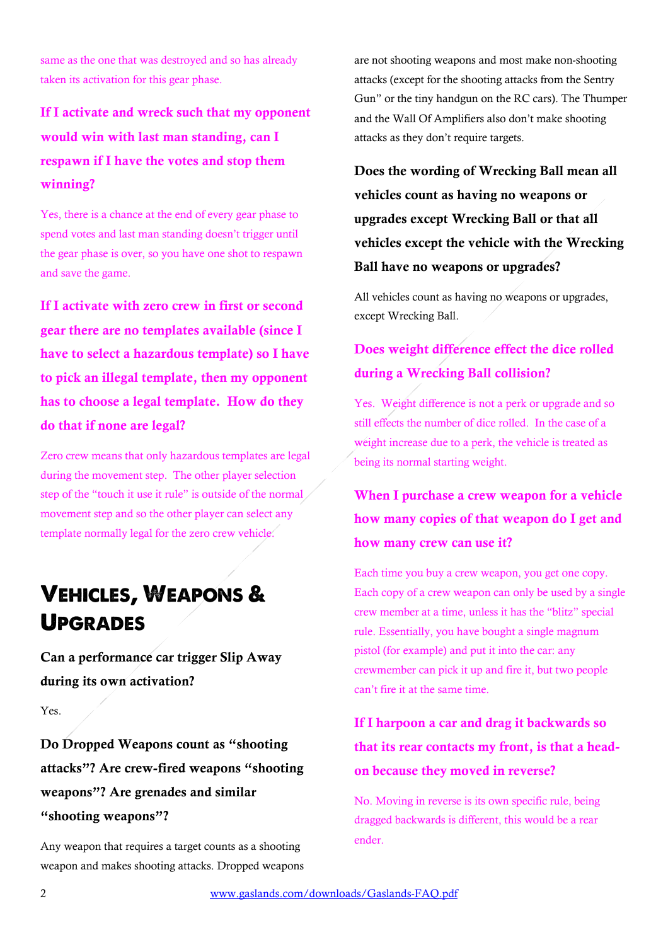same as the one that was destroyed and so has already taken its activation for this gear phase.

### If I activate and wreck such that my opponent would win with last man standing, can I respawn if I have the votes and stop them winning?

Yes, there is a chance at the end of every gear phase to spend votes and last man standing doesn't trigger until the gear phase is over, so you have one shot to respawn and save the game.

If I activate with zero crew in first or second gear there are no templates available (since I have to select a hazardous template) so I have to pick an illegal template, then my opponent has to choose a legal template. How do they do that if none are legal?

Zero crew means that only hazardous templates are legal during the movement step. The other player selection step of the "touch it use it rule" is outside of the normal movement step and so the other player can select any template normally legal for the zero crew vehicle.

# VEHICLES, WEAPONS & UPGRADES

Can a performance car trigger Slip Away during its own activation?

Yes.

Do Dropped Weapons count as "shooting attacks"? Are crew-fired weapons "shooting weapons"? Are grenades and similar "shooting weapons"?

Any weapon that requires a target counts as a shooting weapon and makes shooting attacks. Dropped weapons are not shooting weapons and most make non-shooting attacks (except for the shooting attacks from the Sentry Gun" or the tiny handgun on the RC cars). The Thumper and the Wall Of Amplifiers also don't make shooting attacks as they don't require targets.

Does the wording of Wrecking Ball mean all vehicles count as having no weapons or upgrades except Wrecking Ball or that all vehicles except the vehicle with the Wrecking Ball have no weapons or upgrades?

All vehicles count as having no weapons or upgrades, except Wrecking Ball.

### Does weight difference effect the dice rolled during a Wrecking Ball collision?

Yes. Weight difference is not a perk or upgrade and so still effects the number of dice rolled. In the case of a weight increase due to a perk, the vehicle is treated as being its normal starting weight.

When I purchase a crew weapon for a vehicle how many copies of that weapon do I get and how many crew can use it?

Each time you buy a crew weapon, you get one copy. Each copy of a crew weapon can only be used by a single crew member at a time, unless it has the "blitz" special rule. Essentially, you have bought a single magnum pistol (for example) and put it into the car: any crewmember can pick it up and fire it, but two people can't fire it at the same time.

### If I harpoon a car and drag it backwards so that its rear contacts my front, is that a headon because they moved in reverse?

No. Moving in reverse is its own specific rule, being dragged backwards is different, this would be a rear ender.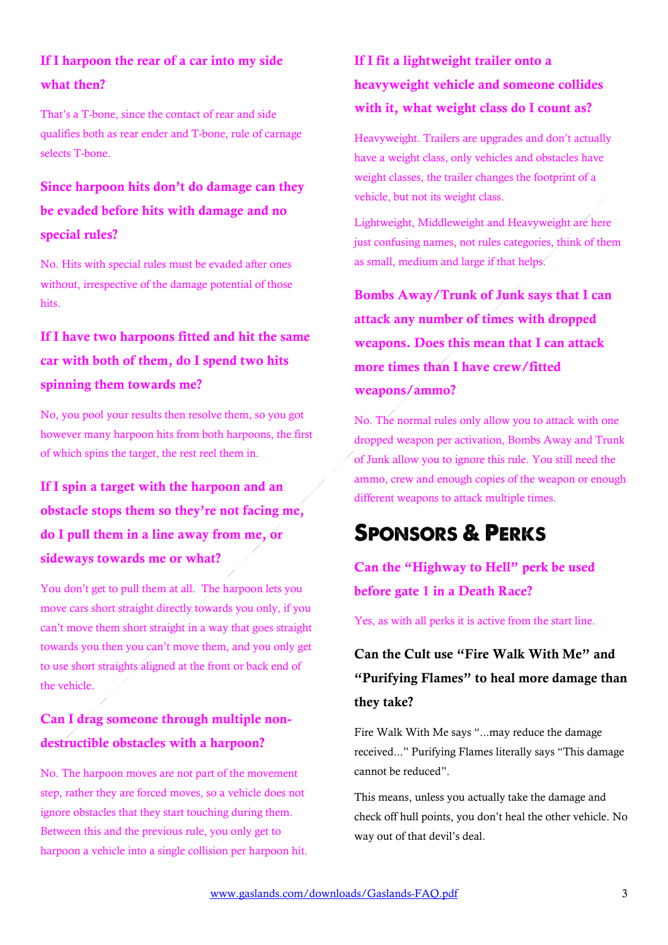### If I harpoon the rear of a car into my side what then?

That's a T-bone, since the contact of rear and side qualifies both as rear ender and T-bone, rule of carnage selects T-bone.

### Since harpoon hits don't do damage can they be evaded before hits with damage and no special rules?

No. Hits with special rules must be evaded after ones without, irrespective of the damage potential of those hits.

### If I have two harpoons fitted and hit the same car with both of them, do I spend two hits spinning them towards me?

No, you pool your results then resolve them, so you got however many harpoon hits from both harpoons, the first of which spins the target, the rest reel them in.

### If I spin a target with the harpoon and an obstacle stops them so they're not facing me, do I pull them in a line away from me, or sideways towards me or what?

You don't get to pull them at all. The harpoon lets you move cars short straight directly towards you only, if you can't move them short straight in a way that goes straight towards you then you can't move them, and you only get to use short straights aligned at the front or back end of the vehicle.

### Can I drag someone through multiple nondestructible obstacles with a harpoon?

No. The harpoon moves are not part of the movement step, rather they are forced moves, so a vehicle does not ignore obstacles that they start touching during them. Between this and the previous rule, you only get to harpoon a vehicle into a single collision per harpoon hit.

### If I fit a lightweight trailer onto a heavyweight vehicle and someone collides with it, what weight class do I count as?

Heavyweight. Trailers are upgrades and don't actually have a weight class, only vehicles and obstacles have weight classes, the trailer changes the footprint of a vehicle, but not its weight class.

Lightweight, Middleweight and Heavyweight are here just confusing names, not rules categories, think of them as small, medium and large if that helps.

Bombs Away/Trunk of Junk says that I can attack any number of times with dropped weapons. Does this mean that I can attack more times than I have crew/fitted weapons/ammo?

No. The normal rules only allow you to attack with one dropped weapon per activation, Bombs Away and Trunk of Junk allow you to ignore this rule. You still need the ammo, crew and enough copies of the weapon or enough different weapons to attack multiple times.

## SPONSORS & PERKS

Can the "Highway to Hell" perk be used before gate 1 in a Death Race?

Yes, as with all perks it is active from the start line.

### Can the Cult use "Fire Walk With Me" and "Purifying Flames" to heal more damage than they take?

Fire Walk With Me says "...may reduce the damage received..." Purifying Flames literally says "This damage cannot be reduced".

This means, unless you actually take the damage and check off hull points, you don't heal the other vehicle. No way out of that devil's deal.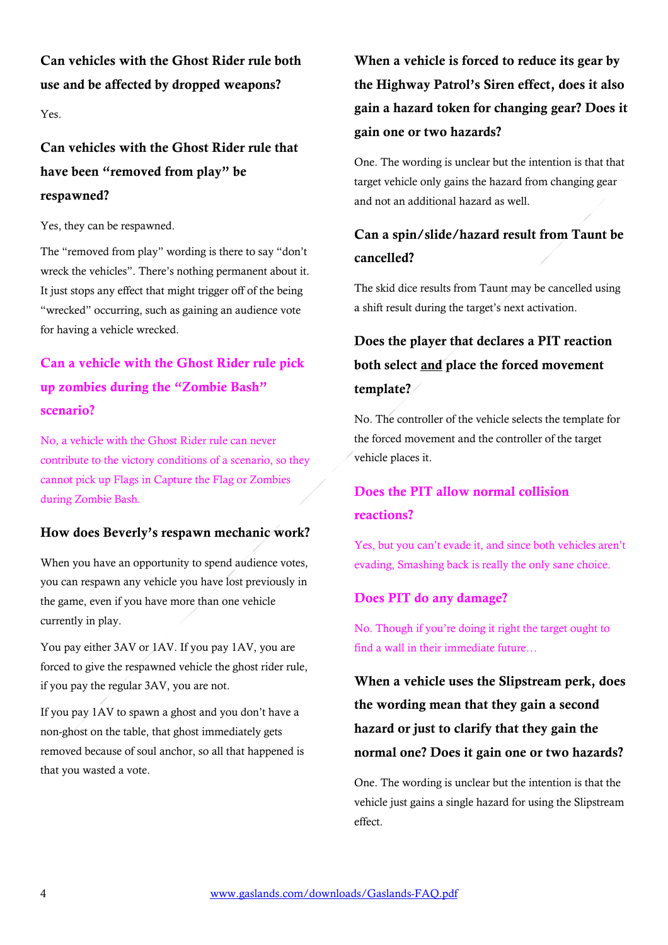Can vehicles with the Ghost Rider rule both use and be affected by dropped weapons?

Yes.

### Can vehicles with the Ghost Rider rule that have been "removed from play" be respawned?

Yes, they can be respawned.

The "removed from play" wording is there to say "don't wreck the vehicles". There's nothing permanent about it. It just stops any effect that might trigger off of the being "wrecked" occurring, such as gaining an audience vote for having a vehicle wrecked.

### Can a vehicle with the Ghost Rider rule pick up zombies during the "Zombie Bash" scenario?

No, a vehicle with the Ghost Rider rule can never contribute to the victory conditions of a scenario, so they cannot pick up Flags in Capture the Flag or Zombies during Zombie Bash.

#### How does Beverly's respawn mechanic work?

When you have an opportunity to spend audience votes, you can respawn any vehicle you have lost previously in the game, even if you have more than one vehicle currently in play.

You pay either 3AV or 1AV. If you pay 1AV, you are forced to give the respawned vehicle the ghost rider rule, if you pay the regular 3AV, you are not.

If you pay 1AV to spawn a ghost and you don't have a non-ghost on the table, that ghost immediately gets removed because of soul anchor, so all that happened is that you wasted a vote.

### When a vehicle is forced to reduce its gear by the Highway Patrol's Siren effect, does it also gain a hazard token for changing gear? Does it gain one or two hazards?

One. The wording is unclear but the intention is that that target vehicle only gains the hazard from changing gear and not an additional hazard as well.

### Can a spin/slide/hazard result from Taunt be cancelled?

The skid dice results from Taunt may be cancelled using a shift result during the target's next activation.

### Does the player that declares a PIT reaction both select and place the forced movement template?

No. The controller of the vehicle selects the template for the forced movement and the controller of the target vehicle places it.

### Does the PIT allow normal collision reactions?

Yes, but you can't evade it, and since both vehicles aren't evading, Smashing back is really the only sane choice.

#### Does PIT do any damage?

No. Though if you're doing it right the target ought to find a wall in their immediate future…

When a vehicle uses the Slipstream perk, does the wording mean that they gain a second hazard or just to clarify that they gain the normal one? Does it gain one or two hazards?

One. The wording is unclear but the intention is that the vehicle just gains a single hazard for using the Slipstream effect.